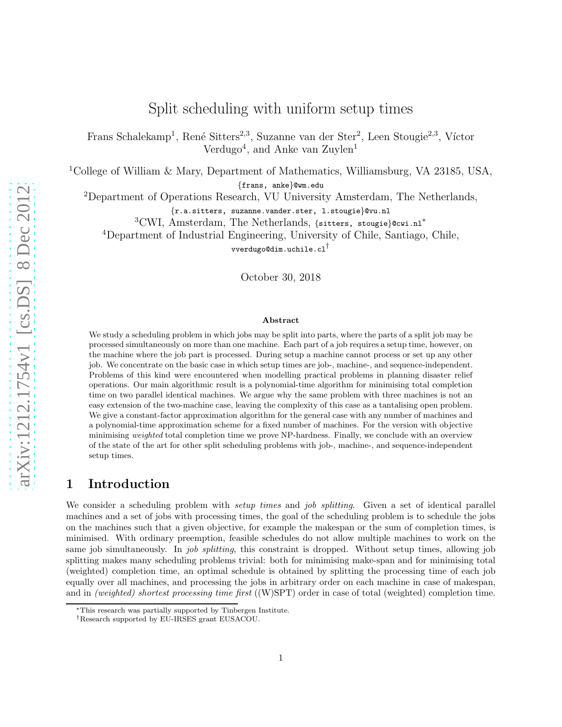# Split scheduling with uniform setup times

Frans Schalekamp<sup>1</sup>, René Sitters<sup>2,3</sup>, Suzanne van der Ster<sup>2</sup>, Leen Stougie<sup>2,3</sup>, Víctor Verdugo<sup>4</sup>, and Anke van Zuylen<sup>1</sup>

<sup>1</sup>College of William & Mary, Department of Mathematics, Williamsburg, VA 23185, USA,

{frans, anke}@wm.edu

<sup>2</sup>Department of Operations Research, VU University Amsterdam, The Netherlands,

{r.a.sitters, suzanne.vander.ster, l.stougie}@vu.nl

<sup>3</sup>CWI, Amsterdam, The Netherlands, {sitters, stougie}@cwi.nl<sup>∗</sup>

<sup>4</sup>Department of Industrial Engineering, University of Chile, Santiago, Chile,

vverdugo@dim.uchile.cl†

October 30, 2018

#### Abstract

We study a scheduling problem in which jobs may be split into parts, where the parts of a split job may be processed simultaneously on more than one machine. Each part of a job requires a setup time, however, on the machine where the job part is processed. During setup a machine cannot process or set up any other job. We concentrate on the basic case in which setup times are job-, machine-, and sequence-independent. Problems of this kind were encountered when modelling practical problems in planning disaster relief operations. Our main algorithmic result is a polynomial-time algorithm for minimising total completion time on two parallel identical machines. We argue why the same problem with three machines is not an easy extension of the two-machine case, leaving the complexity of this case as a tantalising open problem. We give a constant-factor approximation algorithm for the general case with any number of machines and a polynomial-time approximation scheme for a fixed number of machines. For the version with objective minimising *weighted* total completion time we prove NP-hardness. Finally, we conclude with an overview of the state of the art for other split scheduling problems with job-, machine-, and sequence-independent setup times.

### 1 Introduction

We consider a scheduling problem with *setup times* and *job splitting*. Given a set of identical parallel machines and a set of jobs with processing times, the goal of the scheduling problem is to schedule the jobs on the machines such that a given objective, for example the makespan or the sum of completion times, is minimised. With ordinary preemption, feasible schedules do not allow multiple machines to work on the same job simultaneously. In *job splitting*, this constraint is dropped. Without setup times, allowing job splitting makes many scheduling problems trivial: both for minimising make-span and for minimising total (weighted) completion time, an optimal schedule is obtained by splitting the processing time of each job equally over all machines, and processing the jobs in arbitrary order on each machine in case of makespan, and in *(weighted)* shortest processing time first  $((W)$ SPT) order in case of total (weighted) completion time.

<sup>∗</sup>This research was partially supported by Tinbergen Institute.

<sup>†</sup>Research supported by EU-IRSES grant EUSACOU.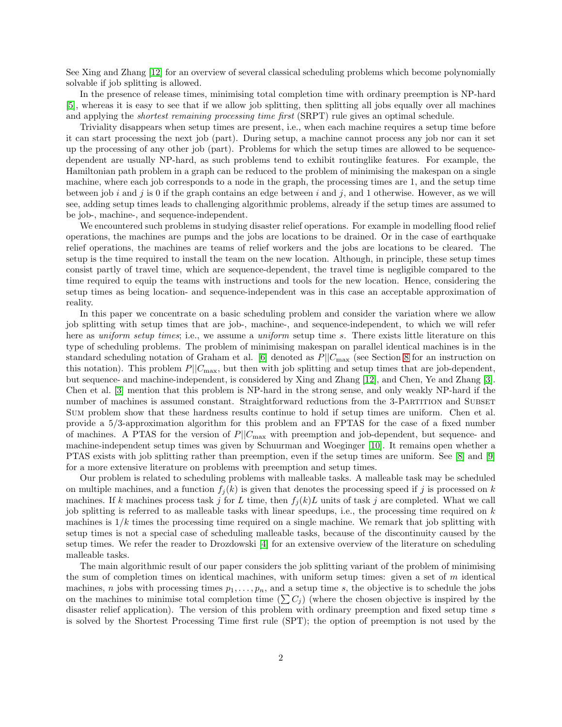See Xing and Zhang [\[12\]](#page-15-0) for an overview of several classical scheduling problems which become polynomially solvable if job splitting is allowed.

In the presence of release times, minimising total completion time with ordinary preemption is NP-hard [\[5\]](#page-13-0), whereas it is easy to see that if we allow job splitting, then splitting all jobs equally over all machines and applying the *shortest remaining processing time first* (SRPT) rule gives an optimal schedule.

Triviality disappears when setup times are present, i.e., when each machine requires a setup time before it can start processing the next job (part). During setup, a machine cannot process any job nor can it set up the processing of any other job (part). Problems for which the setup times are allowed to be sequencedependent are usually NP-hard, as such problems tend to exhibit routinglike features. For example, the Hamiltonian path problem in a graph can be reduced to the problem of minimising the makespan on a single machine, where each job corresponds to a node in the graph, the processing times are 1, and the setup time between job i and j is 0 if the graph contains an edge between i and j, and 1 otherwise. However, as we will see, adding setup times leads to challenging algorithmic problems, already if the setup times are assumed to be job-, machine-, and sequence-independent.

We encountered such problems in studying disaster relief operations. For example in modelling flood relief operations, the machines are pumps and the jobs are locations to be drained. Or in the case of earthquake relief operations, the machines are teams of relief workers and the jobs are locations to be cleared. The setup is the time required to install the team on the new location. Although, in principle, these setup times consist partly of travel time, which are sequence-dependent, the travel time is negligible compared to the time required to equip the teams with instructions and tools for the new location. Hence, considering the setup times as being location- and sequence-independent was in this case an acceptable approximation of reality.

In this paper we concentrate on a basic scheduling problem and consider the variation where we allow job splitting with setup times that are job-, machine-, and sequence-independent, to which we will refer here as uniform setup times; i.e., we assume a uniform setup time s. There exists little literature on this type of scheduling problems. The problem of minimising makespan on parallel identical machines is in the standard scheduling notation of Graham et al. [\[6\]](#page-15-1) denoted as  $P||C_{\text{max}}$  (see Section [8](#page-13-1) for an instruction on this notation). This problem  $P||C_{\text{max}}$ , but then with job splitting and setup times that are job-dependent, but sequence- and machine-independent, is considered by Xing and Zhang [\[12\]](#page-15-0), and Chen, Ye and Zhang [\[3\]](#page-13-2). Chen et al. [\[3\]](#page-13-2) mention that this problem is NP-hard in the strong sense, and only weakly NP-hard if the number of machines is assumed constant. Straightforward reductions from the 3-PARTITION and SUBSET Sum problem show that these hardness results continue to hold if setup times are uniform. Chen et al. provide a 5/3-approximation algorithm for this problem and an FPTAS for the case of a fixed number of machines. A PTAS for the version of  $P||C_{\text{max}}$  with preemption and job-dependent, but sequence- and machine-independent setup times was given by Schuurman and Woeginger [\[10\]](#page-15-2). It remains open whether a PTAS exists with job splitting rather than preemption, even if the setup times are uniform. See [\[8\]](#page-15-3) and [\[9\]](#page-15-4) for a more extensive literature on problems with preemption and setup times.

Our problem is related to scheduling problems with malleable tasks. A malleable task may be scheduled on multiple machines, and a function  $f_j(k)$  is given that denotes the processing speed if j is processed on k machines. If k machines process task j for L time, then  $f_i(k)L$  units of task j are completed. What we call job splitting is referred to as malleable tasks with linear speedups, i.e., the processing time required on k machines is  $1/k$  times the processing time required on a single machine. We remark that job splitting with setup times is not a special case of scheduling malleable tasks, because of the discontinuity caused by the setup times. We refer the reader to Drozdowski [\[4\]](#page-13-3) for an extensive overview of the literature on scheduling malleable tasks.

The main algorithmic result of our paper considers the job splitting variant of the problem of minimising the sum of completion times on identical machines, with uniform setup times: given a set of  $m$  identical machines, n jobs with processing times  $p_1, \ldots, p_n$ , and a setup time s, the objective is to schedule the jobs on the machines to minimise total completion time  $(\sum C_i)$  (where the chosen objective is inspired by the disaster relief application). The version of this problem with ordinary preemption and fixed setup time s is solved by the Shortest Processing Time first rule (SPT); the option of preemption is not used by the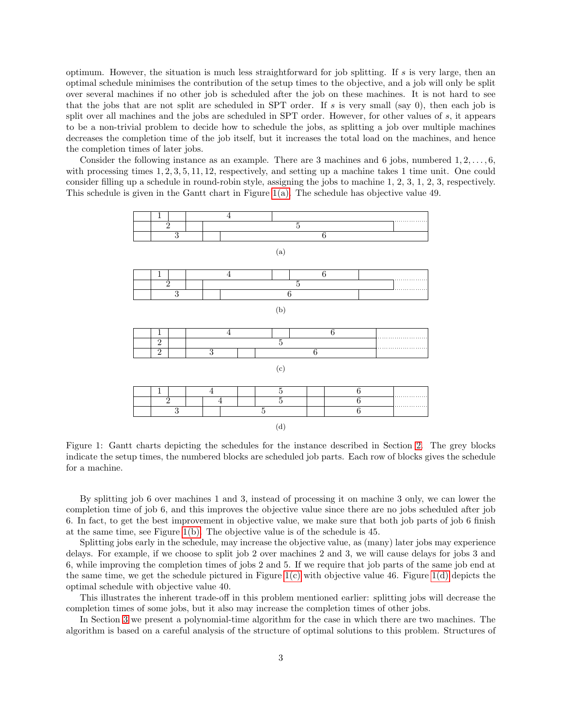optimum. However, the situation is much less straightforward for job splitting. If s is very large, then an optimal schedule minimises the contribution of the setup times to the objective, and a job will only be split over several machines if no other job is scheduled after the job on these machines. It is not hard to see that the jobs that are not split are scheduled in SPT order. If s is very small (say 0), then each job is split over all machines and the jobs are scheduled in SPT order. However, for other values of s, it appears to be a non-trivial problem to decide how to schedule the jobs, as splitting a job over multiple machines decreases the completion time of the job itself, but it increases the total load on the machines, and hence the completion times of later jobs.

<span id="page-2-0"></span>Consider the following instance as an example. There are 3 machines and 6 jobs, numbered  $1, 2, \ldots, 6$ , with processing times  $1, 2, 3, 5, 11, 12$ , respectively, and setting up a machine takes 1 time unit. One could consider filling up a schedule in round-robin style, assigning the jobs to machine 1, 2, 3, 1, 2, 3, respectively. This schedule is given in the Gantt chart in Figure [1\(a\).](#page-2-0) The schedule has objective value 49.

<span id="page-2-2"></span><span id="page-2-1"></span>

<span id="page-2-3"></span>Figure 1: Gantt charts depicting the schedules for the instance described in Section [2.](#page-3-0) The grey blocks indicate the setup times, the numbered blocks are scheduled job parts. Each row of blocks gives the schedule for a machine.

By splitting job 6 over machines 1 and 3, instead of processing it on machine 3 only, we can lower the completion time of job 6, and this improves the objective value since there are no jobs scheduled after job 6. In fact, to get the best improvement in objective value, we make sure that both job parts of job 6 finish at the same time, see Figure [1\(b\).](#page-2-1) The objective value is of the schedule is 45.

Splitting jobs early in the schedule, may increase the objective value, as (many) later jobs may experience delays. For example, if we choose to split job 2 over machines 2 and 3, we will cause delays for jobs 3 and 6, while improving the completion times of jobs 2 and 5. If we require that job parts of the same job end at the same time, we get the schedule pictured in Figure [1\(c\)](#page-2-2) with objective value 46. Figure [1\(d\)](#page-2-3) depicts the optimal schedule with objective value 40.

This illustrates the inherent trade-off in this problem mentioned earlier: splitting jobs will decrease the completion times of some jobs, but it also may increase the completion times of other jobs.

In Section [3](#page-5-0) we present a polynomial-time algorithm for the case in which there are two machines. The algorithm is based on a careful analysis of the structure of optimal solutions to this problem. Structures of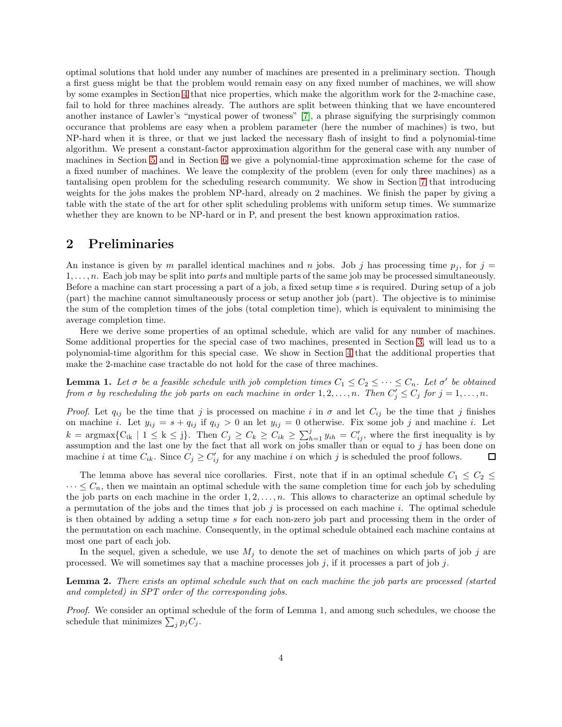optimal solutions that hold under any number of machines are presented in a preliminary section. Though a first guess might be that the problem would remain easy on any fixed number of machines, we will show by some examples in Section [4](#page-6-0) that nice properties, which make the algorithm work for the 2-machine case, fail to hold for three machines already. The authors are split between thinking that we have encountered another instance of Lawler's "mystical power of twoness" [\[7\]](#page-15-5), a phrase signifying the surprisingly common occurance that problems are easy when a problem parameter (here the number of machines) is two, but NP-hard when it is three, or that we just lacked the necessary flash of insight to find a polynomial-time algorithm. We present a constant-factor approximation algorithm for the general case with any number of machines in Section [5](#page-8-0) and in Section [6](#page-9-0) we give a polynomial-time approximation scheme for the case of a fixed number of machines. We leave the complexity of the problem (even for only three machines) as a tantalising open problem for the scheduling research community. We show in Section [7](#page-11-0) that introducing weights for the jobs makes the problem NP-hard, already on 2 machines. We finish the paper by giving a table with the state of the art for other split scheduling problems with uniform setup times. We summarize whether they are known to be NP-hard or in P, and present the best known approximation ratios.

#### <span id="page-3-0"></span>2 Preliminaries

An instance is given by m parallel identical machines and n jobs. Job j has processing time  $p_i$ , for j =  $1, \ldots, n$ . Each job may be split into *parts* and multiple parts of the same job may be processed simultaneously. Before a machine can start processing a part of a job, a fixed setup time s is required. During setup of a job (part) the machine cannot simultaneously process or setup another job (part). The objective is to minimise the sum of the completion times of the jobs (total completion time), which is equivalent to minimising the average completion time.

Here we derive some properties of an optimal schedule, which are valid for any number of machines. Some additional properties for the special case of two machines, presented in Section [3,](#page-5-0) will lead us to a polynomial-time algorithm for this special case. We show in Section [4](#page-6-0) that the additional properties that make the 2-machine case tractable do not hold for the case of three machines.

<span id="page-3-1"></span>**Lemma 1.** Let  $\sigma$  be a feasible schedule with job completion times  $C_1 \leq C_2 \leq \cdots \leq C_n$ . Let  $\sigma'$  be obtained from  $\sigma$  by rescheduling the job parts on each machine in order  $1, 2, ..., n$ . Then  $C'_j \leq C_j$  for  $j = 1, ..., n$ .

*Proof.* Let  $q_{ij}$  be the time that j is processed on machine i in  $\sigma$  and let  $C_{ij}$  be the time that j finishes on machine i. Let  $y_{ij} = s + q_{ij}$  if  $q_{ij} > 0$  an let  $y_{ij} = 0$  otherwise. Fix some job j and machine i. Let  $k = \text{argmax} \{ C_{ik} \mid 1 \leq k \leq j \}.$  Then  $C_j \geq C_k \geq C_{ik} \geq \sum_{h=1}^j y_{ih} = C'_{ij}$ , where the first inequality is by assumption and the last one by the fact that all work on jobs smaller than or equal to  $j$  has been done on machine *i* at time  $C_{ik}$ . Since  $C_j \geq C'_{ij}$  for any machine *i* on which *j* is scheduled the proof follows. 口

The lemma above has several nice corollaries. First, note that if in an optimal schedule  $C_1 \leq C_2 \leq$  $\cdots \leq C_n$ , then we maintain an optimal schedule with the same completion time for each job by scheduling the job parts on each machine in the order  $1, 2, \ldots, n$ . This allows to characterize an optimal schedule by a permutation of the jobs and the times that job  $j$  is processed on each machine  $i$ . The optimal schedule is then obtained by adding a setup time s for each non-zero job part and processing them in the order of the permutation on each machine. Consequently, in the optimal schedule obtained each machine contains at most one part of each job.

In the sequel, given a schedule, we use  $M_j$  to denote the set of machines on which parts of job j are processed. We will sometimes say that a machine processes job  $j$ , if it processes a part of job  $j$ .

<span id="page-3-2"></span>Lemma 2. There exists an optimal schedule such that on each machine the job parts are processed (started and completed) in SPT order of the corresponding jobs.

Proof. We consider an optimal schedule of the form of Lemma 1, and among such schedules, we choose the schedule that minimizes  $\sum_j p_j C_j$ .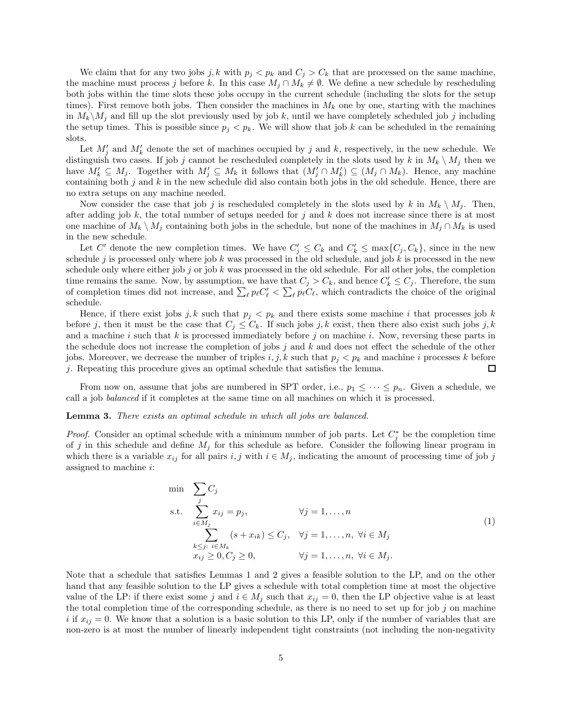We claim that for any two jobs j, k with  $p_j < p_k$  and  $C_j > C_k$  that are processed on the same machine, the machine must process j before k. In this case  $M_j \cap M_k \neq \emptyset$ . We define a new schedule by rescheduling both jobs within the time slots these jobs occupy in the current schedule (including the slots for the setup times). First remove both jobs. Then consider the machines in  $M_k$  one by one, starting with the machines in  $M_k\backslash M_j$  and fill up the slot previously used by job k, until we have completely scheduled job j including the setup times. This is possible since  $p_i < p_k$ . We will show that job k can be scheduled in the remaining slots.

Let  $M'_{j}$  and  $M'_{k}$  denote the set of machines occupied by j and k, respectively, in the new schedule. We distinguish two cases. If job j cannot be rescheduled completely in the slots used by k in  $M_k \setminus M_j$  then we have  $M'_k \subseteq M_j$ . Together with  $M'_j \subseteq M_k$  it follows that  $(M'_j \cap M'_k) \subseteq (M_j \cap M_k)$ . Hence, any machine containing both  $j$  and  $k$  in the new schedule did also contain both jobs in the old schedule. Hence, there are no extra setups on any machine needed.

Now consider the case that job j is rescheduled completely in the slots used by k in  $M_k \setminus M_j$ . Then, after adding job  $k$ , the total number of setups needed for j and  $k$  does not increase since there is at most one machine of  $M_k \setminus M_j$  containing both jobs in the schedule, but none of the machines in  $M_j \cap M_k$  is used in the new schedule.

Let C' denote the new completion times. We have  $C'_j \leq C_k$  and  $C'_k \leq \max\{C_j, C_k\}$ , since in the new schedule j is processed only where job k was processed in the old schedule, and job k is processed in the new schedule only where either job j or job k was processed in the old schedule. For all other jobs, the completion time remains the same. Now, by assumption, we have that  $C_j > C_k$ , and hence  $C'_k \leq C_j$ . Therefore, the sum of completion times did not increase, and  $\sum_{\ell} p_{\ell} C'_{\ell} < \sum_{\ell} p_{\ell} C_{\ell}$ , which contradicts the choice of the original schedule.

Hence, if there exist jobs j, k such that  $p_i < p_k$  and there exists some machine i that processes job k before j, then it must be the case that  $C_j \leq C_k$ . If such jobs j, k exist, then there also exist such jobs j, k and a machine i such that k is processed immediately before j on machine i. Now, reversing these parts in the schedule does not increase the completion of jobs  $j$  and  $k$  and does not effect the schedule of the other jobs. Moreover, we decrease the number of triples i, j, k such that  $p_j < p_k$  and machine i processes k before j. Repeating this procedure gives an optimal schedule that satisfies the lemma.  $\Box$ 

From now on, assume that jobs are numbered in SPT order, i.e.,  $p_1 \leq \cdots \leq p_n$ . Given a schedule, we call a job balanced if it completes at the same time on all machines on which it is processed.

#### <span id="page-4-0"></span>Lemma 3. There exists an optimal schedule in which all jobs are balanced.

*Proof.* Consider an optimal schedule with a minimum number of job parts. Let  $C_j^*$  be the completion time of j in this schedule and define  $M_j$  for this schedule as before. Consider the following linear program in which there is a variable  $x_{ij}$  for all pairs  $i, j$  with  $i \in M_j$ , indicating the amount of processing time of job j assigned to machine i:

$$
\min \sum_{j} C_j
$$
\n
$$
\sum_{i \in M_j} x_{ij} = p_j, \qquad \forall j = 1, ..., n
$$
\n
$$
\sum_{k \le j: i \in M_k} (s + x_{ik}) \le C_j, \quad \forall j = 1, ..., n, \forall i \in M_j
$$
\n
$$
x_{ij} \ge 0, C_j \ge 0, \qquad \forall j = 1, ..., n, \forall i \in M_j.
$$
\n(1)

Note that a schedule that satisfies Lemmas 1 and 2 gives a feasible solution to the LP, and on the other hand that any feasible solution to the LP gives a schedule with total completion time at most the objective value of the LP: if there exist some j and  $i \in M_j$  such that  $x_{ij} = 0$ , then the LP objective value is at least the total completion time of the corresponding schedule, as there is no need to set up for job j on machine i if  $x_{ij} = 0$ . We know that a solution is a basic solution to this LP, only if the number of variables that are non-zero is at most the number of linearly independent tight constraints (not including the non-negativity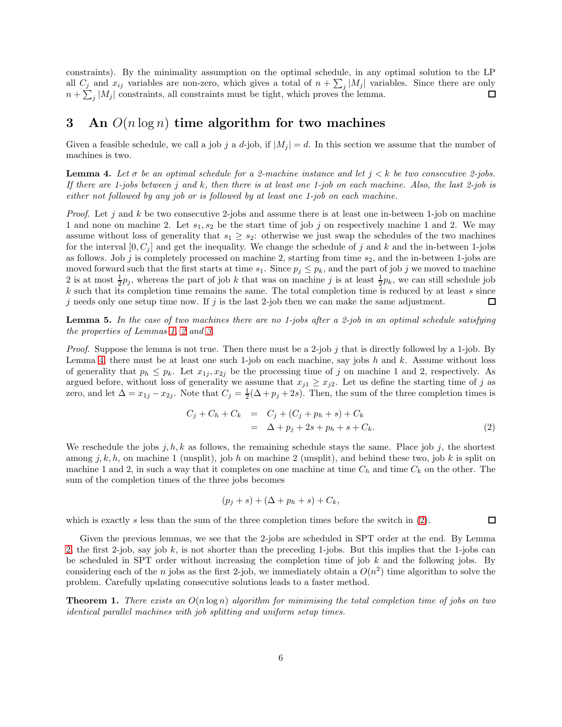constraints). By the minimality assumption on the optimal schedule, in any optimal solution to the LP all  $C_j$  and  $x_{ij}$  variables are non-zero, which gives a total of  $n + \sum_j |M_j|$  variables. Since there are only  $n + \sum_j |M_j|$  constraints, all constraints must be tight, which proves the lemma.

## <span id="page-5-0"></span>3 An  $O(n \log n)$  time algorithm for two machines

Given a feasible schedule, we call a job j a d-job, if  $|M_i| = d$ . In this section we assume that the number of machines is two.

<span id="page-5-1"></span>**Lemma 4.** Let  $\sigma$  be an optimal schedule for a 2-machine instance and let  $j < k$  be two consecutive 2-jobs. If there are 1-jobs between j and k, then there is at least one 1-job on each machine. Also, the last 2-job is either not followed by any job or is followed by at least one 1-job on each machine.

*Proof.* Let j and k be two consecutive 2-jobs and assume there is at least one in-between 1-job on machine 1 and none on machine 2. Let  $s_1, s_2$  be the start time of job j on respectively machine 1 and 2. We may assume without loss of generality that  $s_1 \geq s_2$ : otherwise we just swap the schedules of the two machines for the interval  $[0, C_j]$  and get the inequality. We change the schedule of j and k and the in-between 1-jobs as follows. Job j is completely processed on machine 2, starting from time  $s_2$ , and the in-between 1-jobs are moved forward such that the first starts at time  $s_1$ . Since  $p_j \leq p_k$ , and the part of job j we moved to machine 2 is at most  $\frac{1}{2}p_j$ , whereas the part of job k that was on machine j is at least  $\frac{1}{2}p_k$ , we can still schedule job  $k$  such that its completion time remains the same. The total completion time is reduced by at least  $s$  since j needs only one setup time now. If j is the last 2-job then we can make the same adjustment.  $\Box$ 

**Lemma 5.** In the case of two machines there are no 1-jobs after a 2-job in an optimal schedule satisfying the properties of Lemmas [1,](#page-3-1) [2](#page-3-2) and [3.](#page-4-0)

*Proof.* Suppose the lemma is not true. Then there must be a 2-job j that is directly followed by a 1-job. By Lemma [4,](#page-5-1) there must be at least one such 1-job on each machine, say jobs h and k. Assume without loss of generality that  $p_h \leq p_k$ . Let  $x_{1j}, x_{2j}$  be the processing time of j on machine 1 and 2, respectively. As argued before, without loss of generality we assume that  $x_{j1} \ge x_{j2}$ . Let us define the starting time of j as zero, and let  $\Delta = x_{1j} - x_{2j}$ . Note that  $C_j = \frac{1}{2}(\Delta + p_j + 2s)$ . Then, the sum of the three completion times is

<span id="page-5-2"></span>
$$
C_j + C_h + C_k = C_j + (C_j + p_h + s) + C_k = \Delta + p_j + 2s + p_h + s + C_k.
$$
 (2)

 $\Box$ 

We reschedule the jobs j, h, k as follows, the remaining schedule stays the same. Place job j, the shortest among j, k, h, on machine 1 (unsplit), job h on machine 2 (unsplit), and behind these two, job k is split on machine 1 and 2, in such a way that it completes on one machine at time  $C_h$  and time  $C_k$  on the other. The sum of the completion times of the three jobs becomes

$$
(p_j + s) + (\Delta + p_h + s) + C_k,
$$

which is exactly s less than the sum of the three completion times before the switch in  $(2)$ .

Given the previous lemmas, we see that the 2-jobs are scheduled in SPT order at the end. By Lemma [2,](#page-3-2) the first 2-job, say job k, is not shorter than the preceding 1-jobs. But this implies that the 1-jobs can be scheduled in SPT order without increasing the completion time of job  $k$  and the following jobs. By considering each of the n jobs as the first 2-job, we immediately obtain a  $O(n^2)$  time algorithm to solve the problem. Carefully updating consecutive solutions leads to a faster method.

**Theorem 1.** There exists an  $O(n \log n)$  algorithm for minimising the total completion time of jobs on two identical parallel machines with job splitting and uniform setup times.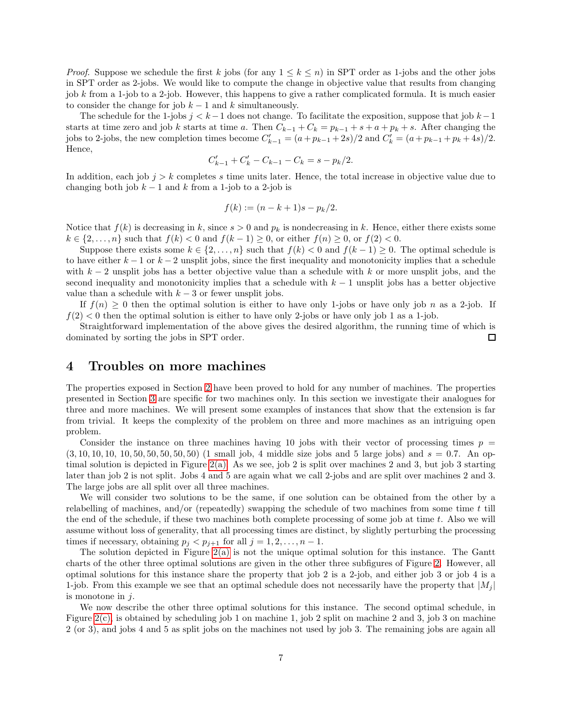*Proof.* Suppose we schedule the first k jobs (for any  $1 \leq k \leq n$ ) in SPT order as 1-jobs and the other jobs in SPT order as 2-jobs. We would like to compute the change in objective value that results from changing job k from a 1-job to a 2-job. However, this happens to give a rather complicated formula. It is much easier to consider the change for job  $k - 1$  and k simultaneously.

The schedule for the 1-jobs  $j < k-1$  does not change. To facilitate the exposition, suppose that job  $k-1$ starts at time zero and job k starts at time a. Then  $C_{k-1} + C_k = p_{k-1} + s + a + p_k + s$ . After changing the jobs to 2-jobs, the new completion times become  $C'_{k-1} = (a+p_{k-1}+2s)/2$  and  $C'_{k} = (a+p_{k-1}+p_k+4s)/2$ . Hence,

$$
C'_{k-1} + C'_{k} - C_{k-1} - C_{k} = s - p_{k}/2.
$$

In addition, each job  $j > k$  completes s time units later. Hence, the total increase in objective value due to changing both job  $k - 1$  and k from a 1-job to a 2-job is

$$
f(k) := (n - k + 1)s - p_k/2.
$$

Notice that  $f(k)$  is decreasing in k, since  $s > 0$  and  $p_k$  is nondecreasing in k. Hence, either there exists some  $k \in \{2, ..., n\}$  such that  $f(k) < 0$  and  $f(k-1) \geq 0$ , or either  $f(n) \geq 0$ , or  $f(2) < 0$ .

Suppose there exists some  $k \in \{2, \ldots, n\}$  such that  $f(k) < 0$  and  $f(k-1) \geq 0$ . The optimal schedule is to have either  $k - 1$  or  $k - 2$  unsplit jobs, since the first inequality and monotonicity implies that a schedule with  $k-2$  unsplit jobs has a better objective value than a schedule with k or more unsplit jobs, and the second inequality and monotonicity implies that a schedule with  $k - 1$  unsplit jobs has a better objective value than a schedule with  $k-3$  or fewer unsplit jobs.

If  $f(n) \geq 0$  then the optimal solution is either to have only 1-jobs or have only job n as a 2-job. If  $f(2)$  < 0 then the optimal solution is either to have only 2-jobs or have only job 1 as a 1-job.

Straightforward implementation of the above gives the desired algorithm, the running time of which is dominated by sorting the jobs in SPT order. □

#### <span id="page-6-0"></span>4 Troubles on more machines

The properties exposed in Section [2](#page-3-0) have been proved to hold for any number of machines. The properties presented in Section [3](#page-5-0) are specific for two machines only. In this section we investigate their analogues for three and more machines. We will present some examples of instances that show that the extension is far from trivial. It keeps the complexity of the problem on three and more machines as an intriguing open problem.

Consider the instance on three machines having 10 jobs with their vector of processing times  $p =$  $(3, 10, 10, 10, 10, 50, 50, 50, 50, 50)$  (1 small job, 4 middle size jobs and 5 large jobs) and  $s = 0.7$ . An optimal solution is depicted in Figure [2\(a\).](#page-7-0) As we see, job 2 is split over machines 2 and 3, but job 3 starting later than job 2 is not split. Jobs 4 and 5 are again what we call 2-jobs and are split over machines 2 and 3. The large jobs are all split over all three machines.

We will consider two solutions to be the same, if one solution can be obtained from the other by a relabelling of machines, and/or (repeatedly) swapping the schedule of two machines from some time  $t$  till the end of the schedule, if these two machines both complete processing of some job at time t. Also we will assume without loss of generality, that all processing times are distinct, by slightly perturbing the processing times if necessary, obtaining  $p_j < p_{j+1}$  for all  $j = 1, 2, ..., n-1$ .

The solution depicted in Figure [2\(a\)](#page-7-0) is not the unique optimal solution for this instance. The Gantt charts of the other three optimal solutions are given in the other three subfigures of Figure [2.](#page-7-1) However, all optimal solutions for this instance share the property that job 2 is a 2-job, and either job 3 or job 4 is a 1-job. From this example we see that an optimal schedule does not necessarily have the property that  $|M_i|$ is monotone in  $j$ .

We now describe the other three optimal solutions for this instance. The second optimal schedule, in Figure [2\(c\),](#page-7-2) is obtained by scheduling job 1 on machine 1, job 2 split on machine 2 and 3, job 3 on machine 2 (or 3), and jobs 4 and 5 as split jobs on the machines not used by job 3. The remaining jobs are again all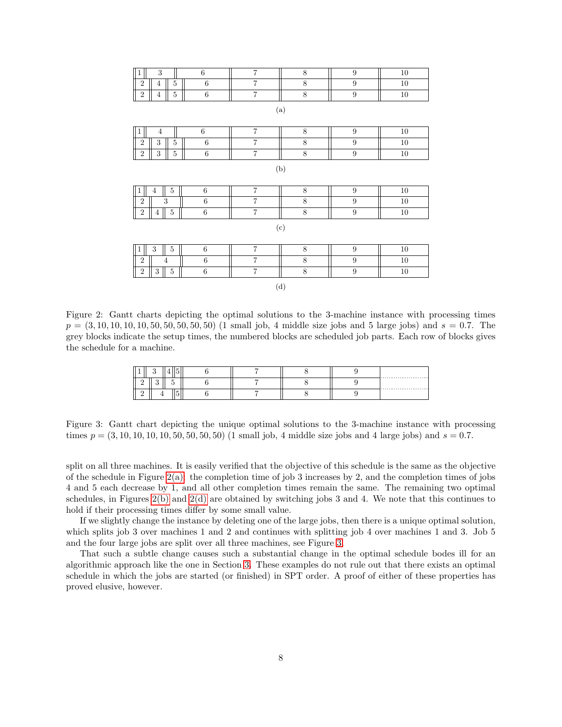<span id="page-7-3"></span><span id="page-7-2"></span><span id="page-7-1"></span><span id="page-7-0"></span>

| $\overline{3}$<br>$\mathbf 1$                      | $\,6\,$         | $\overline{7}$          | $\overline{8}$ | 9                | $10\,$ |  |  |
|----------------------------------------------------|-----------------|-------------------------|----------------|------------------|--------|--|--|
| $\overline{2}$<br>$\overline{5}$<br>$\overline{4}$ | $6\phantom{.}6$ | $\overline{7}$          | $8\,$          | $\boldsymbol{9}$ | 10     |  |  |
| $\sqrt{2}$<br>$\bf 5$<br>$\overline{4}$            | $\,$ 6 $\,$     | $\overline{7}$          | $\overline{8}$ | $\overline{9}$   | $10\,$ |  |  |
| (a)                                                |                 |                         |                |                  |        |  |  |
| $\mathbf{1}$<br>$\overline{4}$                     | $\,6\,$         | $\overline{7}$          | $8\,$          | $\boldsymbol{9}$ | $10\,$ |  |  |
| $\sqrt{2}$<br>3<br>$\bf 5$                         | $6\phantom{.}6$ | $\overline{7}$          | $\overline{8}$ | $\overline{9}$   | $10\,$ |  |  |
| $\sqrt{2}$<br>$\,3$<br>$\bf 5$                     | $\,6\,$         | $\overline{7}$          | $\overline{8}$ | $\overline{9}$   | $10\,$ |  |  |
| (b)                                                |                 |                         |                |                  |        |  |  |
| $\overline{5}$<br>$\overline{4}$<br>$\mathbf{1}$   | $\,6$           | $\overline{7}$          | $8\,$          | 9                | $10\,$ |  |  |
| $\overline{2}$<br>3                                | $\,6\,$         | $\overline{7}$          | $\,$ $\,$      | $\boldsymbol{9}$ | 10     |  |  |
| $\bf 5$<br>$\sqrt{2}$<br>$\overline{4}$            | $\,6$           | $\overline{7}$          | $\overline{8}$ | $\overline{9}$   | $10\,$ |  |  |
| (c)                                                |                 |                         |                |                  |        |  |  |
| 3<br>$\overline{5}$<br>$\mathbf{1}$                | $\,6\,$         | $\overline{7}$          | $\,$ $\,$      | $\boldsymbol{9}$ | $10\,$ |  |  |
| $\overline{2}$<br>$\overline{4}$                   | $\,6\,$         | $\overline{7}$          | 8              | $\boldsymbol{9}$ | $10\,$ |  |  |
| $\sqrt{2}$<br>$\sqrt{3}$<br>$\bf 5$                | $\,6$           | $\overline{\mathbf{7}}$ | $\bf 8$        | $\overline{9}$   | $10\,$ |  |  |
| (d)                                                |                 |                         |                |                  |        |  |  |

<span id="page-7-5"></span><span id="page-7-4"></span>Figure 2: Gantt charts depicting the optimal solutions to the 3-machine instance with processing times  $p = (3, 10, 10, 10, 10, 50, 50, 50, 50, 50)$  (1 small job, 4 middle size jobs and 5 large jobs) and  $s = 0.7$ . The grey blocks indicate the setup times, the numbered blocks are scheduled job parts. Each row of blocks gives the schedule for a machine.

|   | . . |   |  |  | <b>ALC: YES</b> |
|---|-----|---|--|--|-----------------|
|   |     |   |  |  |                 |
| ∸ |     | - |  |  |                 |

Figure 3: Gantt chart depicting the unique optimal solutions to the 3-machine instance with processing times  $p = (3, 10, 10, 10, 10, 50, 50, 50, 50)$  (1 small job, 4 middle size jobs and 4 large jobs) and  $s = 0.7$ .

split on all three machines. It is easily verified that the objective of this schedule is the same as the objective of the schedule in Figure  $2(a)$ : the completion time of job 3 increases by 2, and the completion times of jobs 4 and 5 each decrease by 1, and all other completion times remain the same. The remaining two optimal schedules, in Figures [2\(b\)](#page-7-3) and [2\(d\)](#page-7-4) are obtained by switching jobs 3 and 4. We note that this continues to hold if their processing times differ by some small value.

If we slightly change the instance by deleting one of the large jobs, then there is a unique optimal solution, which splits job 3 over machines 1 and 2 and continues with splitting job 4 over machines 1 and 3. Job 5 and the four large jobs are split over all three machines, see Figure [3.](#page-7-5)

That such a subtle change causes such a substantial change in the optimal schedule bodes ill for an algorithmic approach like the one in Section [3.](#page-5-0) These examples do not rule out that there exists an optimal schedule in which the jobs are started (or finished) in SPT order. A proof of either of these properties has proved elusive, however.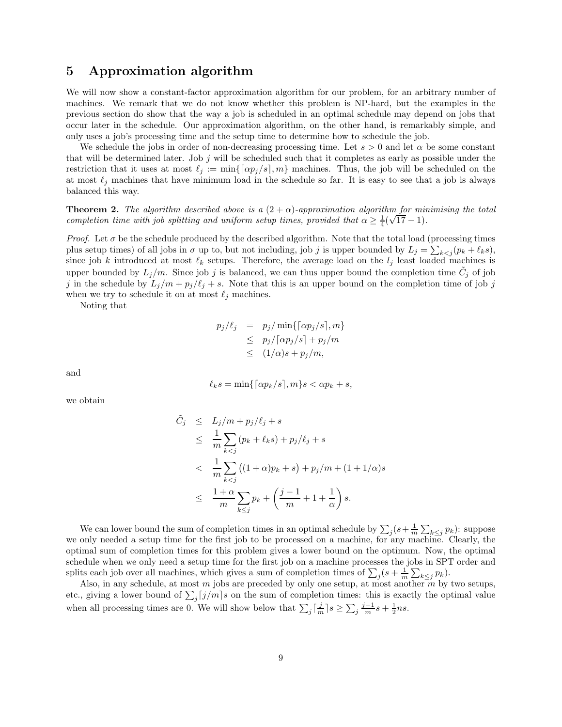#### <span id="page-8-0"></span>5 Approximation algorithm

We will now show a constant-factor approximation algorithm for our problem, for an arbitrary number of machines. We remark that we do not know whether this problem is NP-hard, but the examples in the previous section do show that the way a job is scheduled in an optimal schedule may depend on jobs that occur later in the schedule. Our approximation algorithm, on the other hand, is remarkably simple, and only uses a job's processing time and the setup time to determine how to schedule the job.

We schedule the jobs in order of non-decreasing processing time. Let  $s > 0$  and let  $\alpha$  be some constant that will be determined later. Job  $j$  will be scheduled such that it completes as early as possible under the restriction that it uses at most  $\ell_j := \min\{\lceil \alpha p_j / s \rceil, m\}$  machines. Thus, the job will be scheduled on the at most  $\ell_j$  machines that have minimum load in the schedule so far. It is easy to see that a job is always balanced this way.

**Theorem 2.** The algorithm described above is a  $(2 + \alpha)$ -approximation algorithm for minimising the total completion time with job splitting and uniform setup times, provided that  $\alpha \geq \frac{1}{4}(\sqrt{17}-1)$ .

*Proof.* Let  $\sigma$  be the schedule produced by the described algorithm. Note that the total load (processing times plus setup times) of all jobs in  $\sigma$  up to, but not including, job j is upper bounded by  $L_j = \sum_{k \leq j} (p_k + \ell_k s)$ , since job k introduced at most  $\ell_k$  setups. Therefore, the average load on the  $l_j$  least loaded machines is upper bounded by  $L_j/m$ . Since job j is balanced, we can thus upper bound the completion time  $\tilde{C}_j$  of job j in the schedule by  $L_j/m + p_j/\ell_j + s$ . Note that this is an upper bound on the completion time of job j when we try to schedule it on at most  $\ell_i$  machines.

Noting that

$$
p_j/\ell_j = p_j/\min\{[\alpha p_j/s], m\}
$$
  
\n
$$
\leq p_j/[\alpha p_j/s] + p_j/m
$$
  
\n
$$
\leq (1/\alpha)s + p_j/m,
$$

and

$$
\ell_k s = \min\{\lceil \alpha p_k/s \rceil, m\} s < \alpha p_k + s,
$$

we obtain

$$
\tilde{C}_j \leq L_j/m + p_j/\ell_j + s
$$
\n
$$
\leq \frac{1}{m} \sum_{k < j} (p_k + \ell_k s) + p_j/\ell_j + s
$$
\n
$$
< \frac{1}{m} \sum_{k < j} ((1 + \alpha)p_k + s) + p_j/m + (1 + 1/\alpha)s
$$
\n
$$
\leq \frac{1 + \alpha}{m} \sum_{k \leq j} p_k + \left(\frac{j - 1}{m} + 1 + \frac{1}{\alpha}\right)s.
$$

We can lower bound the sum of completion times in an optimal schedule by  $\sum_j (s + \frac{1}{m} \sum_{k \le j} p_k)$ : suppose we only needed a setup time for the first job to be processed on a machine, for any machine. Clearly, the optimal sum of completion times for this problem gives a lower bound on the optimum. Now, the optimal schedule when we only need a setup time for the first job on a machine processes the jobs in SPT order and splits each job over all machines, which gives a sum of completion times of  $\sum_j (s + \frac{1}{m} \sum_{k \leq j} p_k)$ .

Also, in any schedule, at most m jobs are preceded by only one setup, at most another m by two setups, etc., giving a lower bound of  $\sum_j [j/m]s$  on the sum of completion times: this is exactly the optimal value when all processing times are 0. We will show below that  $\sum_j \left[\frac{j}{m}\right] s \ge \sum_j \frac{j-1}{m} s + \frac{1}{2} ns$ .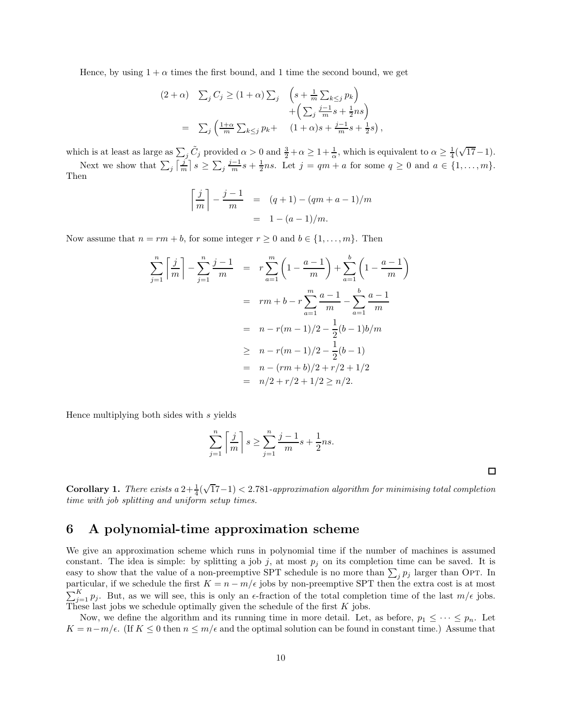Hence, by using  $1 + \alpha$  times the first bound, and 1 time the second bound, we get

$$
(2+\alpha) \quad \sum_{j} C_j \ge (1+\alpha) \sum_{j} \quad \left(s + \frac{1}{m} \sum_{k \le j} p_k\right) + \left(\sum_{j} \frac{j-1}{m} s + \frac{1}{2} n s\right) + \left(\sum_{j} \frac{j-1}{m} s + \frac{1}{2} n s\right) = \sum_{j} \left(\frac{1+\alpha}{m} \sum_{k \le j} p_k + \quad (1+\alpha) s + \frac{j-1}{m} s + \frac{1}{2} s\right)
$$

which is at least as large as  $\sum_j \tilde{C}_j$  provided  $\alpha > 0$  and  $\frac{3}{2} + \alpha \geq 1 + \frac{1}{\alpha}$ , which is equivalent to  $\alpha \geq \frac{1}{4}(\sqrt{17}-1)$ .

,

Next we show that  $\sum_j \left[\frac{j}{m}\right] s \ge \sum_j \frac{j-1}{m} s + \frac{1}{2}ns$ . Let  $j = qm + a$  for some  $q \ge 0$  and  $a \in \{1, \ldots, m\}$ . Then

$$
\left\lceil \frac{j}{m} \right\rceil - \frac{j-1}{m} = (q+1) - (qm+a-1)/m
$$

$$
= 1 - (a-1)/m.
$$

Now assume that  $n = rm + b$ , for some integer  $r \geq 0$  and  $b \in \{1, ..., m\}$ . Then

$$
\sum_{j=1}^{n} \left[ \frac{j}{m} \right] - \sum_{j=1}^{n} \frac{j-1}{m} = r \sum_{a=1}^{m} \left( 1 - \frac{a-1}{m} \right) + \sum_{a=1}^{b} \left( 1 - \frac{a-1}{m} \right)
$$
  

$$
= rm + b - r \sum_{a=1}^{m} \frac{a-1}{m} - \sum_{a=1}^{b} \frac{a-1}{m}
$$
  

$$
= n - r(m-1)/2 - \frac{1}{2}(b-1)b/m
$$
  

$$
\geq n - r(m-1)/2 - \frac{1}{2}(b-1)
$$
  

$$
= n - (rm+b)/2 + r/2 + 1/2
$$
  

$$
= n/2 + r/2 + 1/2 \geq n/2.
$$

Hence multiplying both sides with s yields

$$
\sum_{j=1}^{n} \left\lceil \frac{j}{m} \right\rceil s \ge \sum_{j=1}^{n} \frac{j-1}{m} s + \frac{1}{2} ns.
$$

 $\Box$ 

**Corollary 1.** There exists a  $2+\frac{1}{4}(\sqrt{17}-1) < 2.781$ -approximation algorithm for minimising total completion time with job splitting and uniform setup times.

# <span id="page-9-0"></span>6 A polynomial-time approximation scheme

We give an approximation scheme which runs in polynomial time if the number of machines is assumed constant. The idea is simple: by splitting a job j, at most  $p_j$  on its completion time can be saved. It is easy to show that the value of a non-preemptive SPT schedule is no more than  $\sum_j p_j$  larger than OPT. In particular, if we schedule the first  $K = n - m/\epsilon$  jobs by non-preemptive SPT then the extra cost is at most  $\sum_{j=1}^K p_j$ . But, as we will see, this is only an  $\epsilon$ -fraction of the total completion time of the last  $m/\epsilon$  jobs. These last jobs we schedule optimally given the schedule of the first  $K$  jobs.

Now, we define the algorithm and its running time in more detail. Let, as before,  $p_1 \leq \cdots \leq p_n$ . Let  $K = n - m/\epsilon$ . (If  $K \leq 0$  then  $n \leq m/\epsilon$  and the optimal solution can be found in constant time.) Assume that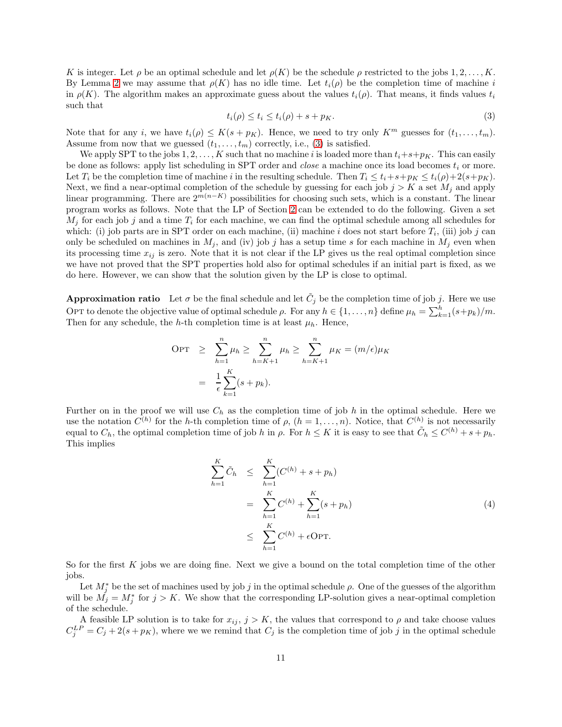K is integer. Let  $\rho$  be an optimal schedule and let  $\rho(K)$  be the schedule  $\rho$  restricted to the jobs 1, 2, ..., K. By Lemma [2](#page-3-2) we may assume that  $\rho(K)$  has no idle time. Let  $t_i(\rho)$  be the completion time of machine i in  $\rho(K)$ . The algorithm makes an approximate guess about the values  $t_i(\rho)$ . That means, it finds values  $t_i$ such that

<span id="page-10-0"></span>
$$
t_i(\rho) \le t_i \le t_i(\rho) + s + p_K. \tag{3}
$$

Note that for any i, we have  $t_i(\rho) \leq K(s + p_K)$ . Hence, we need to try only  $K^m$  guesses for  $(t_1, \ldots, t_m)$ . Assume from now that we guessed  $(t_1, \ldots, t_m)$  correctly, i.e., [\(3\)](#page-10-0) is satisfied.

We apply SPT to the jobs  $1, 2, ..., K$  such that no machine i is loaded more than  $t_i+s+p<sub>K</sub>$ . This can easily be done as follows: apply list scheduling in SPT order and *close* a machine once its load becomes  $t_i$  or more. Let  $T_i$  be the completion time of machine i in the resulting schedule. Then  $T_i \le t_i+s+p_K \le t_i(\rho)+2(s+p_K)$ . Next, we find a near-optimal completion of the schedule by guessing for each job  $j > K$  a set  $M_j$  and apply linear programming. There are  $2^{m(n-K)}$  possibilities for choosing such sets, which is a constant. The linear program works as follows. Note that the LP of Section [2](#page-3-0) can be extended to do the following. Given a set  $M_i$  for each job j and a time  $T_i$  for each machine, we can find the optimal schedule among all schedules for which: (i) job parts are in SPT order on each machine, (ii) machine i does not start before  $T_i$ , (iii) job j can only be scheduled on machines in  $M_j$ , and (iv) job j has a setup time s for each machine in  $M_j$  even when its processing time  $x_{ij}$  is zero. Note that it is not clear if the LP gives us the real optimal completion since we have not proved that the SPT properties hold also for optimal schedules if an initial part is fixed, as we do here. However, we can show that the solution given by the LP is close to optimal.

**Approximation ratio** Let  $\sigma$  be the final schedule and let  $\tilde{C}_j$  be the completion time of job j. Here we use OPT to denote the objective value of optimal schedule  $\rho$ . For any  $h \in \{1, \ldots, n\}$  define  $\mu_h = \sum_{k=1}^h (s+p_k)/m$ . Then for any schedule, the h-th completion time is at least  $\mu_h$ . Hence,

$$
\begin{aligned} \text{OPT} &\geq \sum_{h=1}^{n} \mu_h \geq \sum_{h=K+1}^{n} \mu_h \geq \sum_{h=K+1}^{n} \mu_K = (m/\epsilon)\mu_K \\ &= \frac{1}{\epsilon} \sum_{k=1}^{K} (s + p_k). \end{aligned}
$$

Further on in the proof we will use  $C_h$  as the completion time of job h in the optimal schedule. Here we use the notation  $C^{(h)}$  for the h-th completion time of  $\rho$ ,  $(h = 1, \ldots, n)$ . Notice, that  $C^{(h)}$  is not necessarily equal to  $C_h$ , the optimal completion time of job h in  $\rho$ . For  $h \leq K$  it is easy to see that  $\tilde{C}_h \leq C^{(h)} + s + p_h$ . This implies

<span id="page-10-1"></span>
$$
\sum_{h=1}^{K} \tilde{C}_{h} \leq \sum_{h=1}^{K} (C^{(h)} + s + p_{h})
$$
\n
$$
= \sum_{h=1}^{K} C^{(h)} + \sum_{h=1}^{K} (s + p_{h})
$$
\n
$$
\leq \sum_{h=1}^{K} C^{(h)} + \epsilon \text{OPT}.
$$
\n(4)

So for the first K jobs we are doing fine. Next we give a bound on the total completion time of the other jobs.

Let  $M_j^*$  be the set of machines used by job j in the optimal schedule  $\rho$ . One of the guesses of the algorithm will be  $M_j = M_j^*$  for  $j > K$ . We show that the corresponding LP-solution gives a near-optimal completion of the schedule.

A feasible LP solution is to take for  $x_{ij}$ ,  $j > K$ , the values that correspond to  $\rho$  and take choose values  $C_j^{LP} = C_j + 2(s + p_K)$ , where we we remind that  $C_j$  is the completion time of job j in the optimal schedule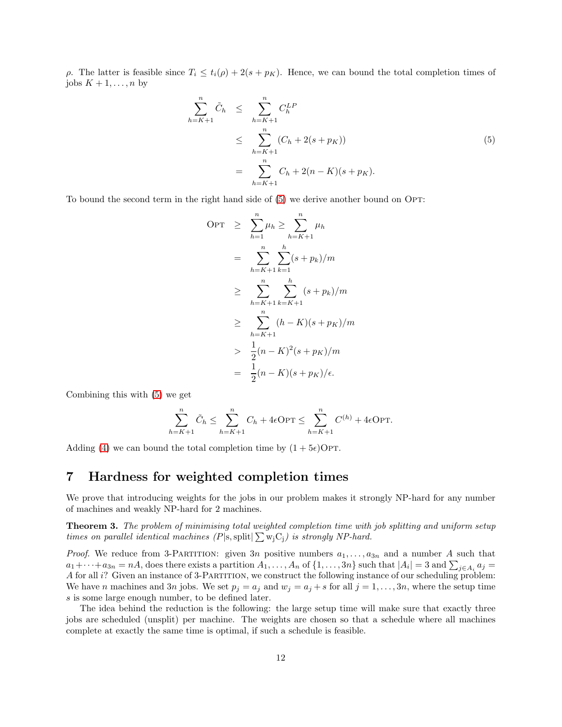ρ. The latter is feasible since  $T_i \n\t\leq t_i(\rho) + 2(s + p_K)$ . Hence, we can bound the total completion times of jobs  $K + 1, \ldots, n$  by

<span id="page-11-1"></span>
$$
\sum_{h=K+1}^{n} \tilde{C}_{h} \leq \sum_{h=K+1}^{n} C_{h}^{LP}
$$
\n
$$
\leq \sum_{h=K+1}^{n} (C_{h} + 2(s + p_{K}))
$$
\n
$$
= \sum_{h=K+1}^{n} C_{h} + 2(n - K)(s + p_{K}).
$$
\n(5)

To bound the second term in the right hand side of  $(5)$  we derive another bound on OPT:

$$
OPT \geq \sum_{h=1}^{n} \mu_h \geq \sum_{h=K+1}^{n} \mu_h
$$
  
= 
$$
\sum_{h=K+1}^{n} \sum_{k=1}^{h} (s + p_k)/m
$$
  

$$
\geq \sum_{h=K+1}^{n} \sum_{k=K+1}^{h} (s + p_k)/m
$$
  

$$
\geq \sum_{h=K+1}^{n} (h - K)(s + p_K)/m
$$
  

$$
> \frac{1}{2}(n - K)^2(s + p_K)/m
$$
  
= 
$$
\frac{1}{2}(n - K)(s + p_K)/\epsilon.
$$

Combining this with [\(5\)](#page-11-1) we get

$$
\sum_{h=K+1}^{n} \tilde{C}_h \le \sum_{h=K+1}^{n} C_h + 4\epsilon \text{OPT} \le \sum_{h=K+1}^{n} C^{(h)} + 4\epsilon \text{OPT}.
$$

Adding [\(4\)](#page-10-1) we can bound the total completion time by  $(1+5\epsilon)$ OPT.

# <span id="page-11-0"></span>7 Hardness for weighted completion times

We prove that introducing weights for the jobs in our problem makes it strongly NP-hard for any number of machines and weakly NP-hard for 2 machines.

**Theorem 3.** The problem of minimising total weighted completion time with job splitting and uniform setup times on parallel identical machines  $(P|s, \text{split}| \sum w_j C_j)$  is strongly NP-hard.

*Proof.* We reduce from 3-PARTITION: given 3n positive numbers  $a_1, \ldots, a_{3n}$  and a number A such that  $a_1+\cdots+a_{3n}=nA$ , does there exists a partition  $A_1,\ldots,A_n$  of  $\{1,\ldots,3n\}$  such that  $|A_i|=3$  and  $\sum_{j\in A_i}a_j=1$ A for all i? Given an instance of 3-Partition, we construct the following instance of our scheduling problem: We have n machines and 3n jobs. We set  $p_j = a_j$  and  $w_j = a_j + s$  for all  $j = 1, \ldots, 3n$ , where the setup time s is some large enough number, to be defined later.

The idea behind the reduction is the following: the large setup time will make sure that exactly three jobs are scheduled (unsplit) per machine. The weights are chosen so that a schedule where all machines complete at exactly the same time is optimal, if such a schedule is feasible.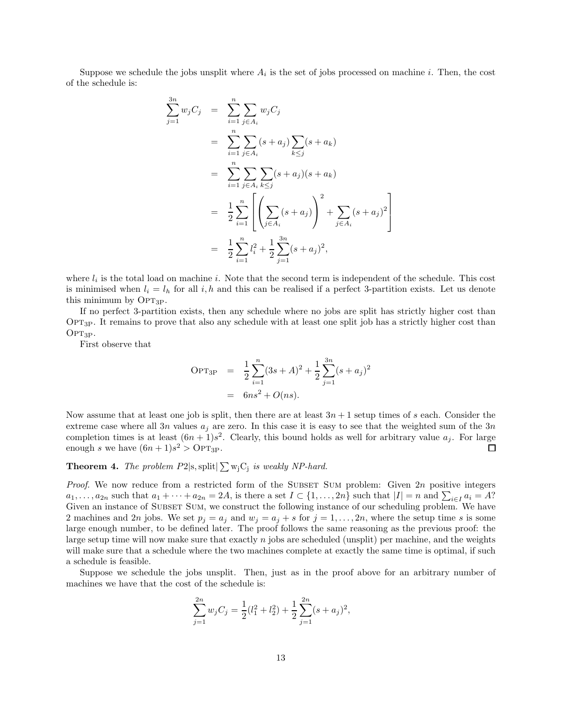Suppose we schedule the jobs unsplit where  $A_i$  is the set of jobs processed on machine i. Then, the cost of the schedule is:

$$
\sum_{j=1}^{3n} w_j C_j = \sum_{i=1}^n \sum_{j \in A_i} w_j C_j
$$
  
= 
$$
\sum_{i=1}^n \sum_{j \in A_i} (s + a_j) \sum_{k \le j} (s + a_k)
$$
  
= 
$$
\sum_{i=1}^n \sum_{j \in A_i} \sum_{k \le j} (s + a_j) (s + a_k)
$$
  
= 
$$
\frac{1}{2} \sum_{i=1}^n \left[ \left( \sum_{j \in A_i} (s + a_j) \right)^2 + \sum_{j \in A_i} (s + a_j)^2 \right]
$$
  
= 
$$
\frac{1}{2} \sum_{i=1}^n l_i^2 + \frac{1}{2} \sum_{j=1}^{3n} (s + a_j)^2,
$$

where  $l_i$  is the total load on machine i. Note that the second term is independent of the schedule. This cost is minimised when  $l_i = l_h$  for all i, h and this can be realised if a perfect 3-partition exists. Let us denote this minimum by OPT<sub>3P</sub>.

If no perfect 3-partition exists, then any schedule where no jobs are split has strictly higher cost than Opt3P. It remains to prove that also any schedule with at least one split job has a strictly higher cost than  $OPT_{3P}$ .

First observe that

$$
\begin{aligned} \text{OPT}_{3P} &= \frac{1}{2} \sum_{i=1}^{n} (3s + A)^2 + \frac{1}{2} \sum_{j=1}^{3n} (s + a_j)^2 \\ &= 6ns^2 + O(ns). \end{aligned}
$$

Now assume that at least one job is split, then there are at least  $3n + 1$  setup times of s each. Consider the extreme case where all 3n values  $a_i$  are zero. In this case it is easy to see that the weighted sum of the 3n completion times is at least  $(6n + 1)s^2$ . Clearly, this bound holds as well for arbitrary value  $a_j$ . For large enough s we have  $(6n+1)s^2 > \text{OPT}_{3P}$ .  $\Box$ 

### **Theorem 4.** The problem  $P2$ |s, split| $\sum w_j C_j$  is weakly NP-hard.

*Proof.* We now reduce from a restricted form of the SUBSET SUM problem: Given  $2n$  positive integers  $a_1, \ldots, a_{2n}$  such that  $a_1 + \cdots + a_{2n} = 2A$ , is there a set  $I \subset \{1, \ldots, 2n\}$  such that  $|I| = n$  and  $\sum_{i \in I} a_i = A$ ? Given an instance of SUBSET SUM, we construct the following instance of our scheduling problem. We have 2 machines and 2n jobs. We set  $p_j = a_j$  and  $w_j = a_j + s$  for  $j = 1, \ldots, 2n$ , where the setup time s is some large enough number, to be defined later. The proof follows the same reasoning as the previous proof: the large setup time will now make sure that exactly  $n$  jobs are scheduled (unsplit) per machine, and the weights will make sure that a schedule where the two machines complete at exactly the same time is optimal, if such a schedule is feasible.

Suppose we schedule the jobs unsplit. Then, just as in the proof above for an arbitrary number of machines we have that the cost of the schedule is:

$$
\sum_{j=1}^{2n} w_j C_j = \frac{1}{2} (l_1^2 + l_2^2) + \frac{1}{2} \sum_{j=1}^{2n} (s + a_j)^2,
$$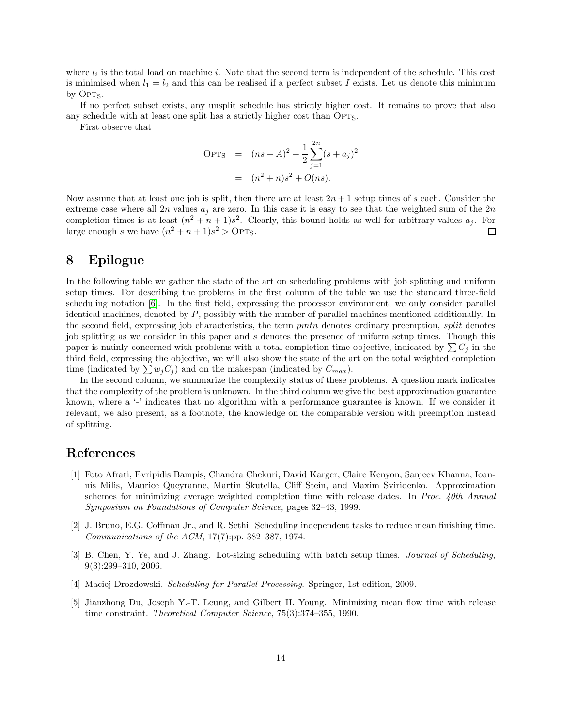where  $l_i$  is the total load on machine i. Note that the second term is independent of the schedule. This cost is minimised when  $l_1 = l_2$  and this can be realised if a perfect subset I exists. Let us denote this minimum by  $OPT<sub>S</sub>$ .

If no perfect subset exists, any unsplit schedule has strictly higher cost. It remains to prove that also any schedule with at least one split has a strictly higher cost than  $OPT_S$ .

First observe that

$$
OPT_S = (ns + A)^2 + \frac{1}{2} \sum_{j=1}^{2n} (s + a_j)^2
$$
  
=  $(n^2 + n)s^2 + O(ns)$ .

Now assume that at least one job is split, then there are at least  $2n + 1$  setup times of s each. Consider the extreme case where all 2n values  $a_i$  are zero. In this case it is easy to see that the weighted sum of the  $2n$ completion times is at least  $(n^2 + n + 1)s^2$ . Clearly, this bound holds as well for arbitrary values  $a_j$ . For large enough s we have  $(n^2 + n + 1)s^2 > \text{OPT}_S$ .  $\Box$ 

### <span id="page-13-1"></span>8 Epilogue

In the following table we gather the state of the art on scheduling problems with job splitting and uniform setup times. For describing the problems in the first column of the table we use the standard three-field scheduling notation [\[6\]](#page-15-1). In the first field, expressing the processor environment, we only consider parallel identical machines, denoted by P, possibly with the number of parallel machines mentioned additionally. In the second field, expressing job characteristics, the term pmtn denotes ordinary preemption, split denotes job splitting as we consider in this paper and s denotes the presence of uniform setup times. Though this paper is mainly concerned with problems with a total completion time objective, indicated by  $\sum C_j$  in the third field, expressing the objective, we will also show the state of the art on the total weighted completion time (indicated by  $\sum w_j C_j$ ) and on the makespan (indicated by  $C_{max}$ ).

In the second column, we summarize the complexity status of these problems. A question mark indicates that the complexity of the problem is unknown. In the third column we give the best approximation guarantee known, where a '-' indicates that no algorithm with a performance guarantee is known. If we consider it relevant, we also present, as a footnote, the knowledge on the comparable version with preemption instead of splitting.

## <span id="page-13-5"></span>References

- [1] Foto Afrati, Evripidis Bampis, Chandra Chekuri, David Karger, Claire Kenyon, Sanjeev Khanna, Ioannis Milis, Maurice Queyranne, Martin Skutella, Cliff Stein, and Maxim Sviridenko. Approximation schemes for minimizing average weighted completion time with release dates. In Proc. 40th Annual Symposium on Foundations of Computer Science, pages 32–43, 1999.
- <span id="page-13-4"></span>[2] J. Bruno, E.G. Coffman Jr., and R. Sethi. Scheduling independent tasks to reduce mean finishing time. Communications of the ACM, 17(7):pp. 382–387, 1974.
- <span id="page-13-2"></span>[3] B. Chen, Y. Ye, and J. Zhang. Lot-sizing scheduling with batch setup times. Journal of Scheduling, 9(3):299–310, 2006.
- <span id="page-13-3"></span><span id="page-13-0"></span>[4] Maciej Drozdowski. Scheduling for Parallel Processing. Springer, 1st edition, 2009.
- [5] Jianzhong Du, Joseph Y.-T. Leung, and Gilbert H. Young. Minimizing mean flow time with release time constraint. Theoretical Computer Science, 75(3):374–355, 1990.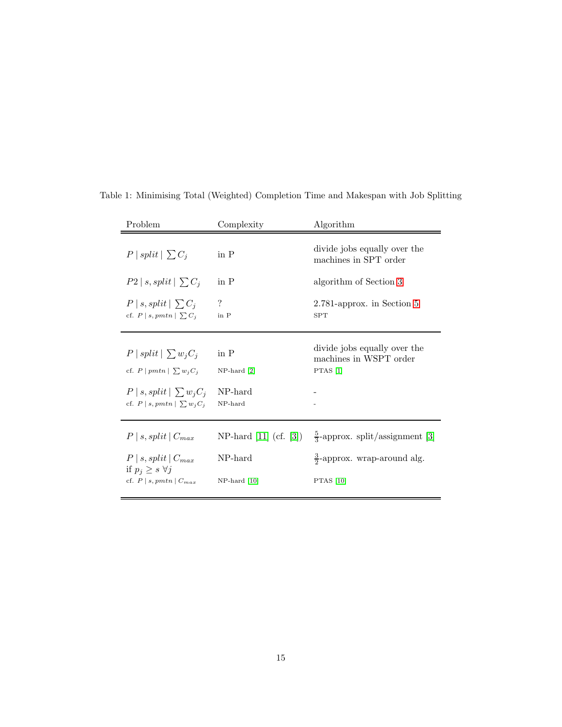| Problem                                                                                                                          | Complexity                                     | Algorithm                                                                                                                    |  |
|----------------------------------------------------------------------------------------------------------------------------------|------------------------------------------------|------------------------------------------------------------------------------------------------------------------------------|--|
| $P   split   \sum C_i$                                                                                                           | in $P$                                         | divide jobs equally over the<br>machines in SPT order                                                                        |  |
| $P2 \mid s, split \mid \sum C_i$                                                                                                 | in P                                           | algorithm of Section 3                                                                                                       |  |
| $P   s, split   \sum C_i$<br>cf. $P \mid s, pmtn \mid \sum C_i$                                                                  | $\ddot{?}$<br>in P                             | 2.781-approx. in Section 5<br><b>SPT</b>                                                                                     |  |
| $P   split   \sum w_j C_j$<br>cf. $P   pmtn   \sum w_j C_j$<br>$P   s, split   \sum w_i C_i$<br>cf. $P   s, pmtn   \sum w_i C_i$ | in P<br>$NP$ -hard $[2]$<br>NP-hard<br>NP-hard | divide jobs equally over the<br>machines in WSPT order<br>PTAS $[1]$                                                         |  |
| $P   s, split   C_{max}$<br>$P   s, split   C_{max}$<br>if $p_i \geq s \; \forall j$<br>cf. $P   s, pmtn   C_{max}$              | NP-hard<br>$NP$ -hard [10]                     | NP-hard [11] (cf. [3]) $\frac{5}{3}$ -approx. split/assignment [3]<br>$\frac{3}{2}$ -approx. wrap-around alg.<br>PTAS $[10]$ |  |

Table 1: Minimising Total (Weighted) Completion Time and Makespan with Job Splitting